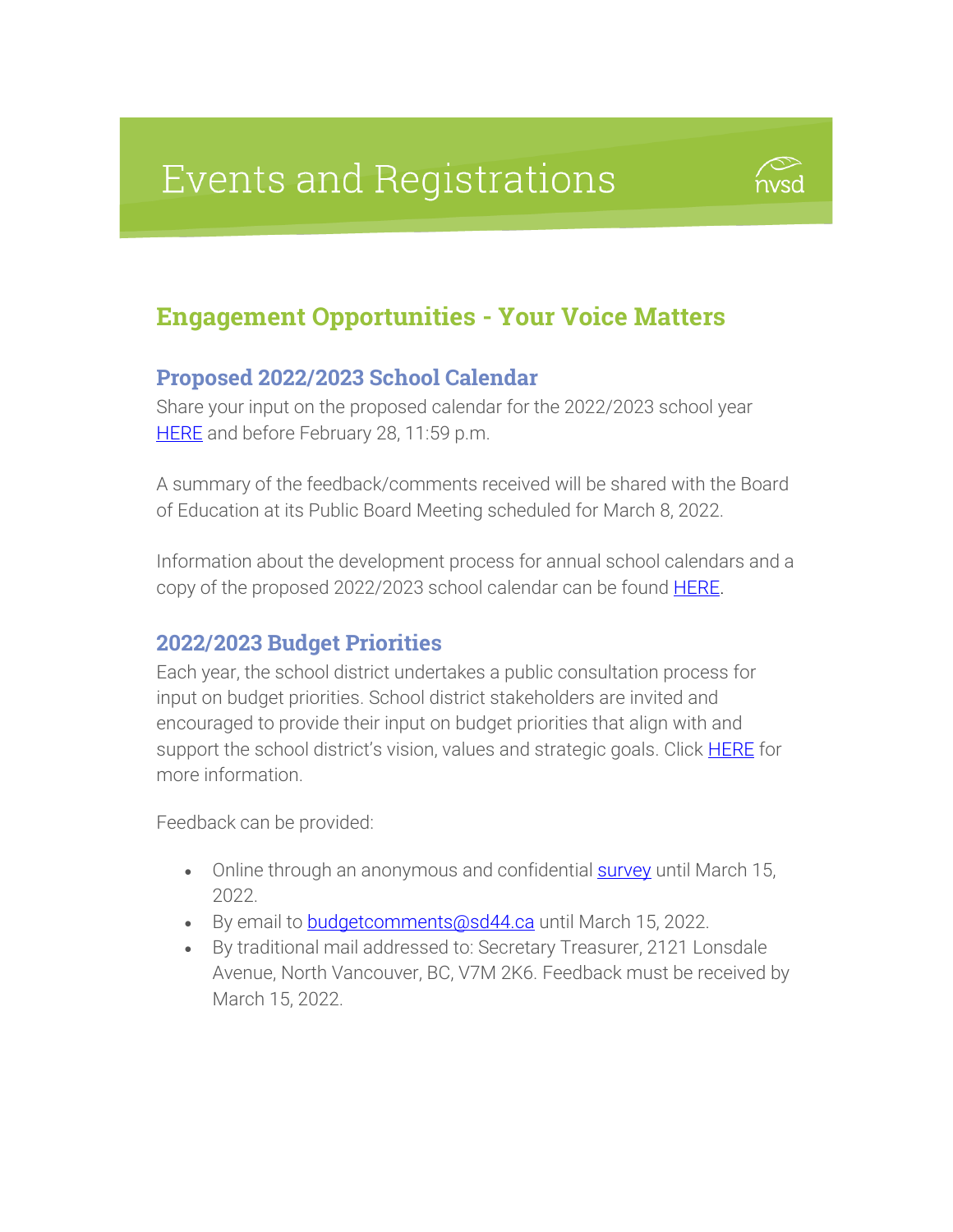# **Events and Registrations**



### Engagement Opportunities - Your Voice Matters

#### Proposed 2022/2023 School Calendar

Share your input on the proposed calendar for the 2022/2023 school year [HERE](https://forms.office.com/Pages/ResponsePage.aspx?id=RtUantX4ek-GDic4Z6NToFYRCnmSfXNGnjFKGVKe3qtURTBOU0hPQ1NVWjNEUUtPM0JIMEdGMFA1Ry4u) and before February 28, 11:59 p.m.

A summary of the feedback/comments received will be shared with the Board of Education at its Public Board Meeting scheduled for March 8, 2022.

Information about the development process for annual school calendars and a copy of the proposed 2022/2023 school calendar can be found **HERE**.

#### 2022/2023 Budget Priorities

Each year, the school district undertakes a public consultation process for input on budget priorities. School district stakeholders are invited and encouraged to provide their input on budget priorities that align with and support the school district's vision, values and strategic goals. Click **[HERE](https://www.sd44.ca/Board/BudgetFinancialInformation/BudgetInput/Pages/default.aspx#/=)** for more information.

Feedback can be provided:

- Online through an anonymous and confidential **[survey](https://forms.office.com/Pages/ResponsePage.aspx?id=RtUantX4ek-GDic4Z6NToFYRCnmSfXNGnjFKGVKe3qtUOVpaSUZBM1ZQMFBNQjIzNkNUTU45NllOMC4u)** until March 15, 2022.
- By email to **budgetcomments@sd44.ca** until March 15, 2022.
- By traditional mail addressed to: Secretary Treasurer, 2121 Lonsdale Avenue, North Vancouver, BC, V7M 2K6. Feedback must be received by March 15, 2022.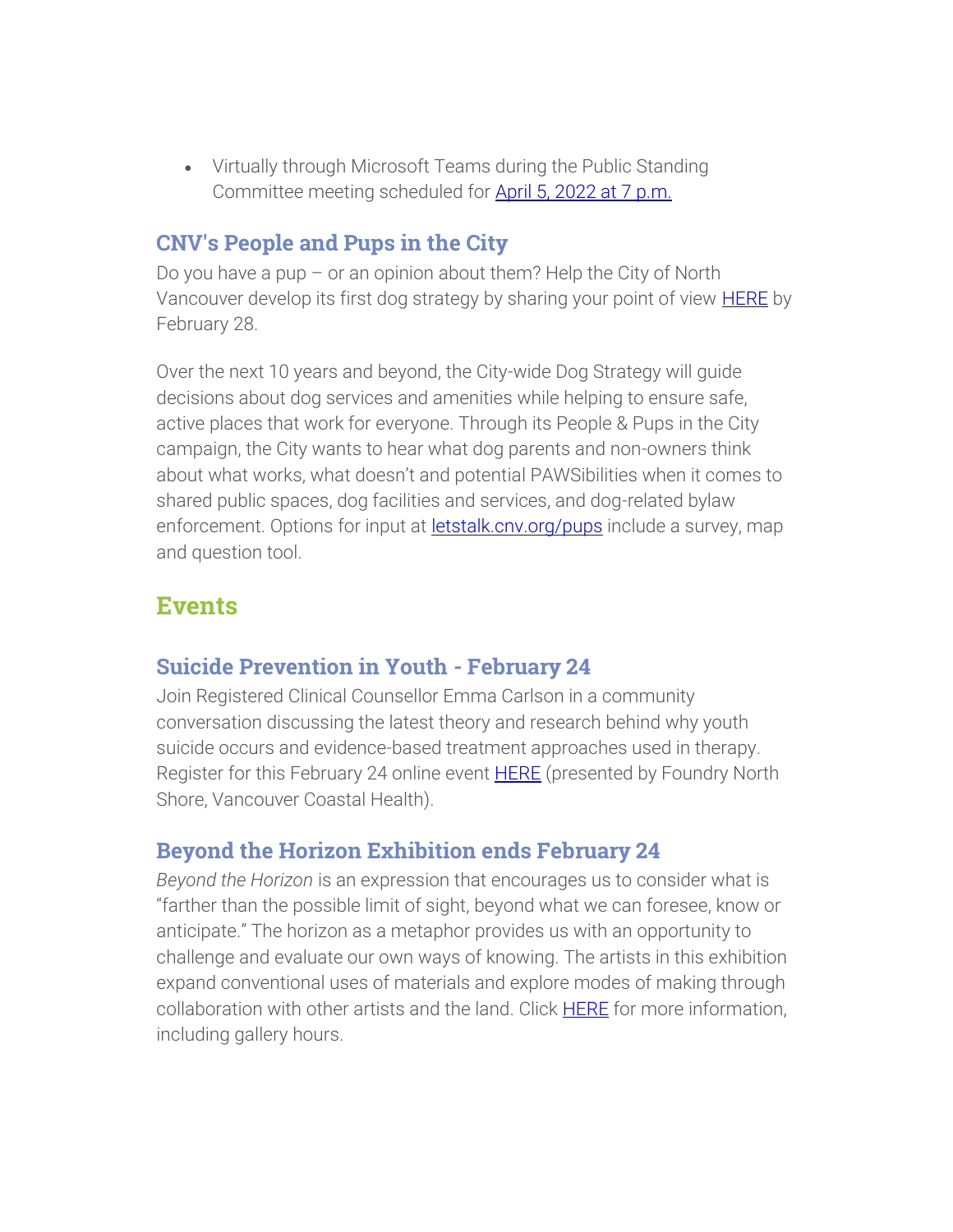Virtually through Microsoft Teams during the Public Standing Committee meeting scheduled for [April 5, 2022 at 7 p.m.](https://www.sd44.ca/Board/Meetings/Pages/default.aspx#/=)

#### CNV's People and Pups in the City

Do you have a pup – or an opinion about them? Help the City of North Vancouver develop its first dog strategy by sharing your point of view **HERE** by February 28.

Over the next 10 years and beyond, the City-wide Dog Strategy will guide decisions about dog services and amenities while helping to ensure safe, active places that work for everyone. Through its People & Pups in the City campaign, the City wants to hear what dog parents and non-owners think about what works, what doesn't and potential PAWSibilities when it comes to shared public spaces, dog facilities and services, and dog-related bylaw enforcement. Options for input at **letstalk.cnv.org/pups** include a survey, map and question tool.

### **Events**

#### Suicide Prevention in Youth - February 24

Join Registered Clinical Counsellor Emma Carlson in a community conversation discussing the latest theory and research behind why youth suicide occurs and evidence-based treatment approaches used in therapy. Register for this February 24 online event **HERE** (presented by Foundry North Shore, Vancouver Coastal Health).

### Beyond the Horizon Exhibition ends February 24

*Beyond the Horizon* is an expression that encourages us to consider what is "farther than the possible limit of sight, beyond what we can foresee, know or anticipate." The horizon as a metaphor provides us with an opportunity to challenge and evaluate our own ways of knowing. The artists in this exhibition expand conventional uses of materials and explore modes of making through collaboration with other artists and the land. Click [HERE](https://www.sd44.ca/school/artistsforkids/Visit/Exhibitions/Pages/default.aspx#/=) for more information, including gallery hours.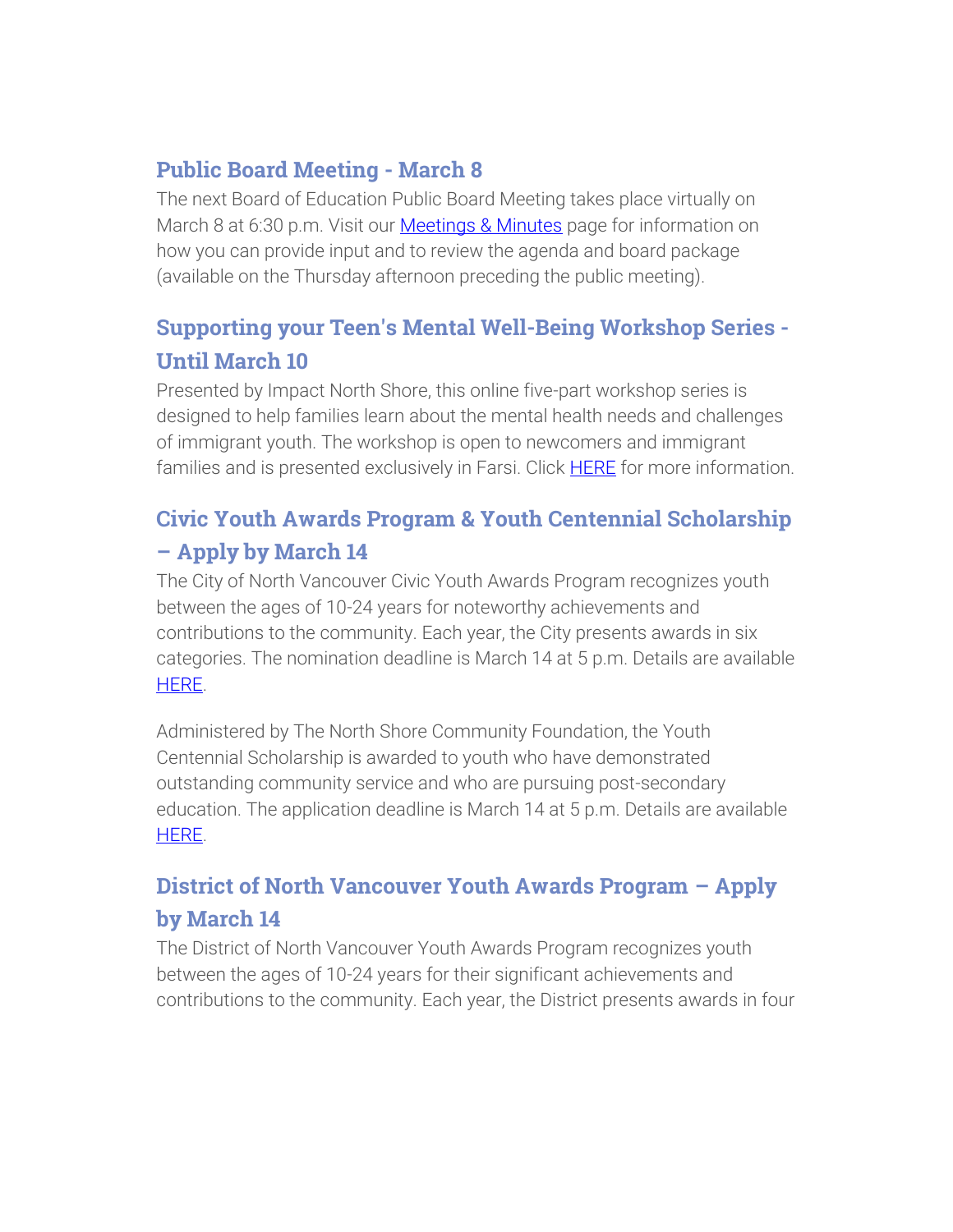### Public Board Meeting - March 8

The next Board of Education Public Board Meeting takes place virtually on March 8 at 6:30 p.m. Visit our **Meetings & Minutes** page for information on how you can provide input and to review the agenda and board package (available on the Thursday afternoon preceding the public meeting).

### Supporting your Teen's Mental Well-Being Workshop Series - Until March 10

Presented by Impact North Shore, this online five-part workshop series is designed to help families learn about the mental health needs and challenges of immigrant youth. The workshop is open to newcomers and immigrant families and is presented exclusively in Farsi. Click **HERE** for more information.

### Civic Youth Awards Program & Youth Centennial Scholarship – Apply by March 14

The City of North Vancouver Civic Youth Awards Program recognizes youth between the ages of 10-24 years for noteworthy achievements and contributions to the community. Each year, the City presents awards in six categories. The nomination deadline is March 14 at 5 p.m. Details are available [HERE.](https://www.cnv.org/City-Services/Planning-and-Policies/Youth/Be-Recognized)

Administered by The North Shore Community Foundation, the Youth Centennial Scholarship is awarded to youth who have demonstrated outstanding community service and who are pursuing post-secondary education. The application deadline is March 14 at 5 p.m. Details are available [HERE.](https://www.cnv.org/city-services/planning-and-policies/youth/be-recognized/youth-centennial-scholarship)

### District of North Vancouver Youth Awards Program – Apply by March 14

The District of North Vancouver Youth Awards Program recognizes youth between the ages of 10-24 years for their significant achievements and contributions to the community. Each year, the District presents awards in four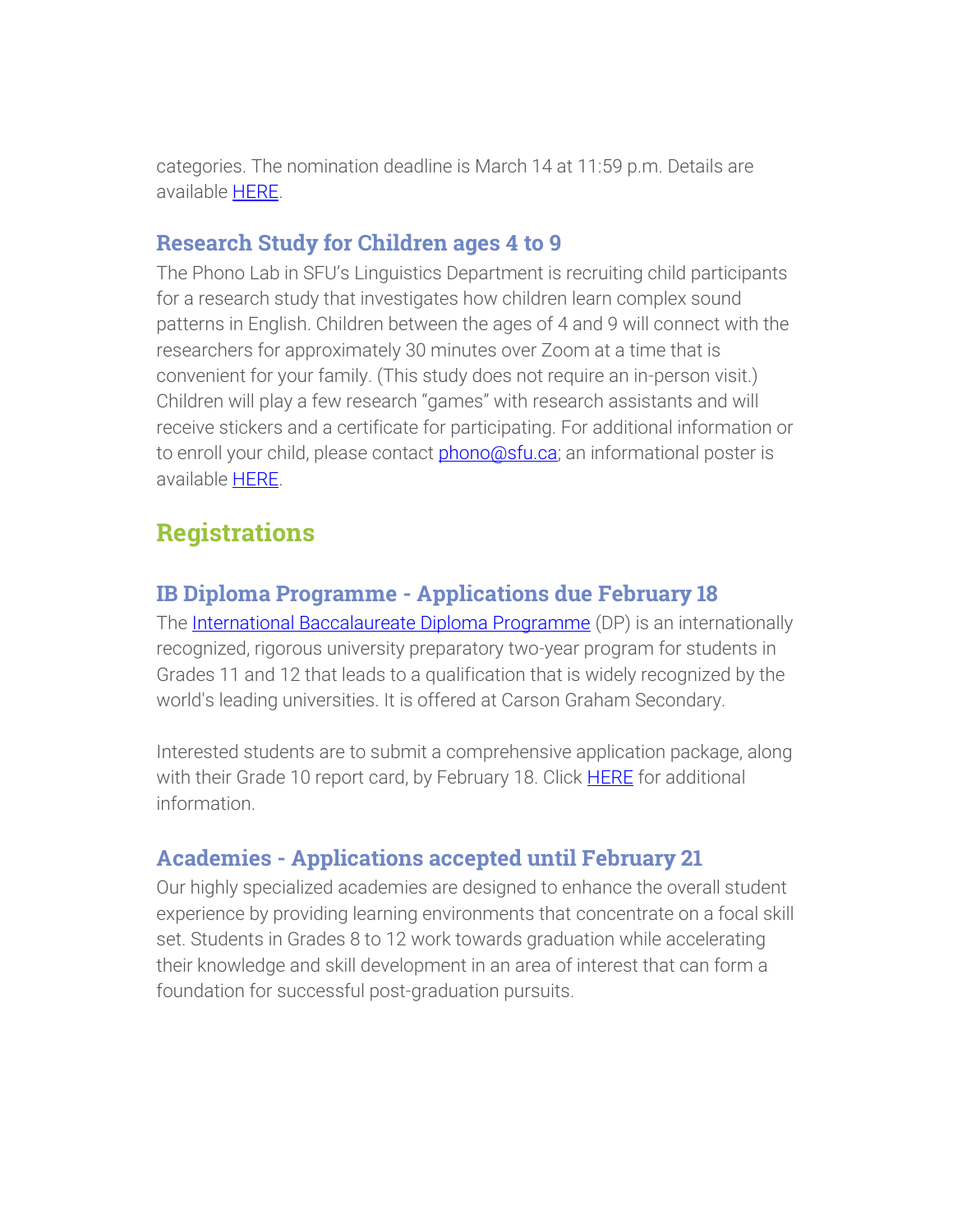categories. The nomination deadline is March 14 at 11:59 p.m. Details are available [HERE.](https://www.dnv.org/programs-and-services/civic-youth-awards)

#### Research Study for Children ages 4 to 9

The Phono Lab in SFU's Linguistics Department is recruiting child participants for a research study that investigates how children learn complex sound patterns in English. Children between the ages of 4 and 9 will connect with the researchers for approximately 30 minutes over Zoom at a time that is convenient for your family. (This study does not require an in-person visit.) Children will play a few research "games" with research assistants and will receive stickers and a certificate for participating. For additional information or to enroll your child, please contact **phono@sfu.ca**; an informational poster is available [HERE.](https://www.sd44.ca/parents/Documents/SFU_Research_Recruitment_poster_4-9.pdf)

## **Registrations**

### IB Diploma Programme - Applications due February 18

The [International Baccalaureate Diploma Programme](https://www.sd44.ca/school/carson/diplomaprogramme/Pages/Default.aspx#/=) (DP) is an internationally recognized, rigorous university preparatory two-year program for students in Grades 11 and 12 that leads to a qualification that is widely recognized by the world's leading universities. It is offered at Carson Graham Secondary.

Interested students are to submit a comprehensive application package, along with their Grade 10 report card, by February 18. Click **HERE** for additional information.

### Academies - Applications accepted until February 21

Our highly specialized academies are designed to enhance the overall student experience by providing learning environments that concentrate on a focal skill set. Students in Grades 8 to 12 work towards graduation while accelerating their knowledge and skill development in an area of interest that can form a foundation for successful post-graduation pursuits.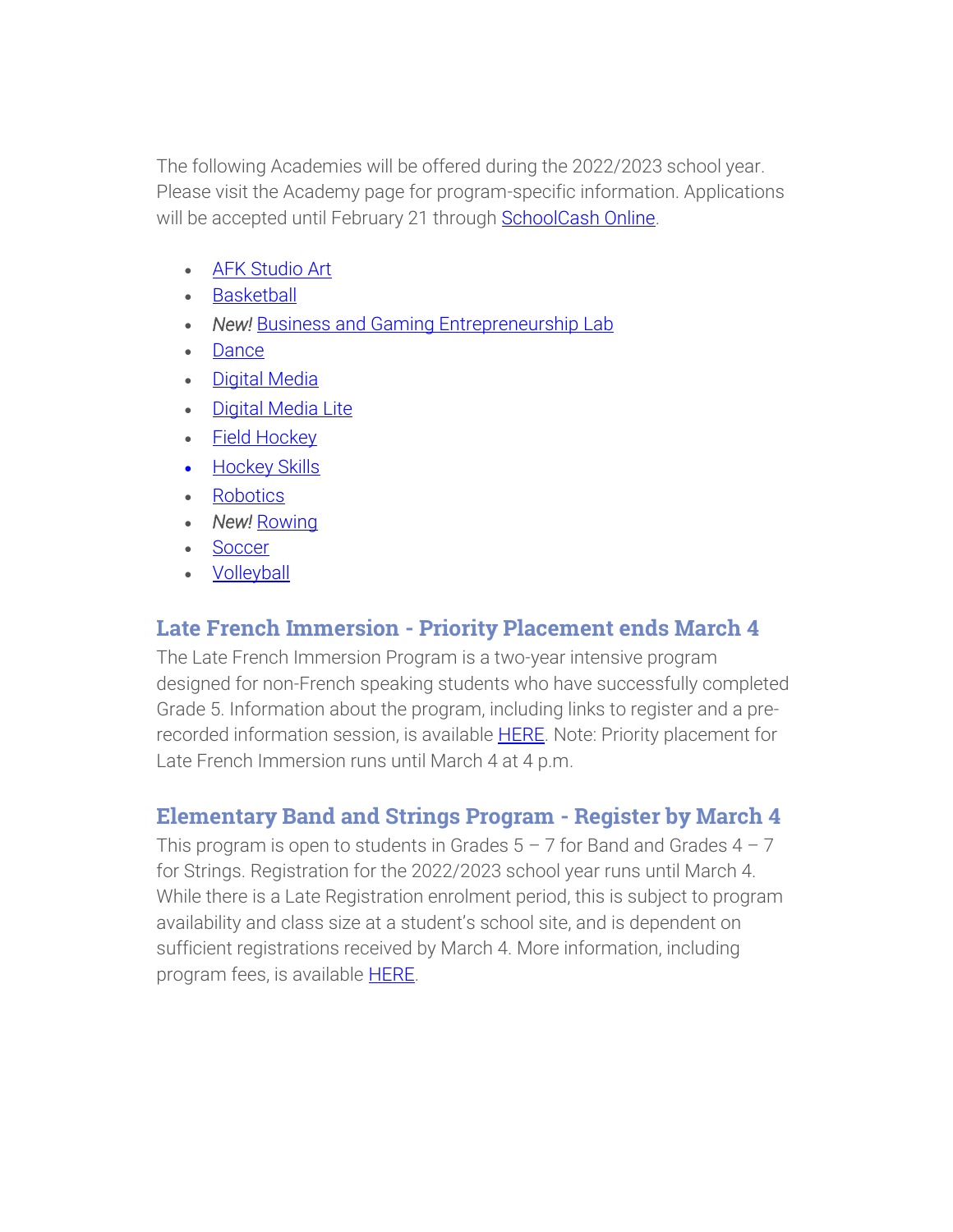The following Academies will be offered during the 2022/2023 school year. Please visit the Academy page for program-specific information. Applications will be accepted until February 21 through [SchoolCash Online.](https://sd44.schoolcashonline.com/)

- **[AFK Studio Art](https://www.sd44.ca/ProgramsServices/Academies/AFKAcademy/Pages/default.aspx#/=)**
- **[Basketball](https://www.sd44.ca/ProgramsServices/Academies/Basketball/Pages/default.aspx#/=)**
- *New!* [Business and Gaming Entrepreneurship Lab](https://www.sd44.ca/ProgramsServices/Academies/Gaming/Pages/default.aspx#/=)
- [Dance](https://www.sd44.ca/ProgramsServices/Academies/Dance/Pages/default.aspx#/=)
- **[Digital Media](https://www.sd44.ca/ProgramsServices/Academies/DigitalMedia/Pages/default.aspx#/=)**
- [Digital Media Lite](https://www.sd44.ca/ProgramsServices/Academies/Digital%20Media%20Academy%20Lite/Pages/default.aspx#/=)
- [Field Hockey](https://www.sd44.ca/ProgramsServices/Academies/FieldHockey/Pages/default.aspx#/=)
- Hockey Skills
- **[Robotics](https://www.sd44.ca/ProgramsServices/Academies/Robotics,%20Mechatronics%20%26%20Digital%20Fabrication/Pages/default.aspx#/=)**
- New! [Rowing](https://www.sd44.ca/ProgramsServices/Academies/rowing/Pages/default.aspx#/=)
- **[Soccer](https://www.sd44.ca/ProgramsServices/Academies/SoccerAcademy/Pages/default.aspx#/=)**
- [Volleyball](https://www.sd44.ca/ProgramsServices/Academies/VolleyballAcademy/Pages/default.aspx#/=)

### Late French Immersion - Priority Placement ends March 4

The Late French Immersion Program is a two-year intensive program designed for non-French speaking students who have successfully completed Grade 5. Information about the program, including links to register and a prerecorded information session, is available **HERE**. Note: Priority placement for Late French Immersion runs until March 4 at 4 p.m.

### Elementary Band and Strings Program - Register by March 4

This program is open to students in Grades  $5 - 7$  for Band and Grades  $4 - 7$ for Strings. Registration for the 2022/2023 school year runs until March 4. While there is a Late Registration enrolment period, this is subject to program availability and class size at a student's school site, and is dependent on sufficient registrations received by March 4. More information, including program fees, is available **HERE**.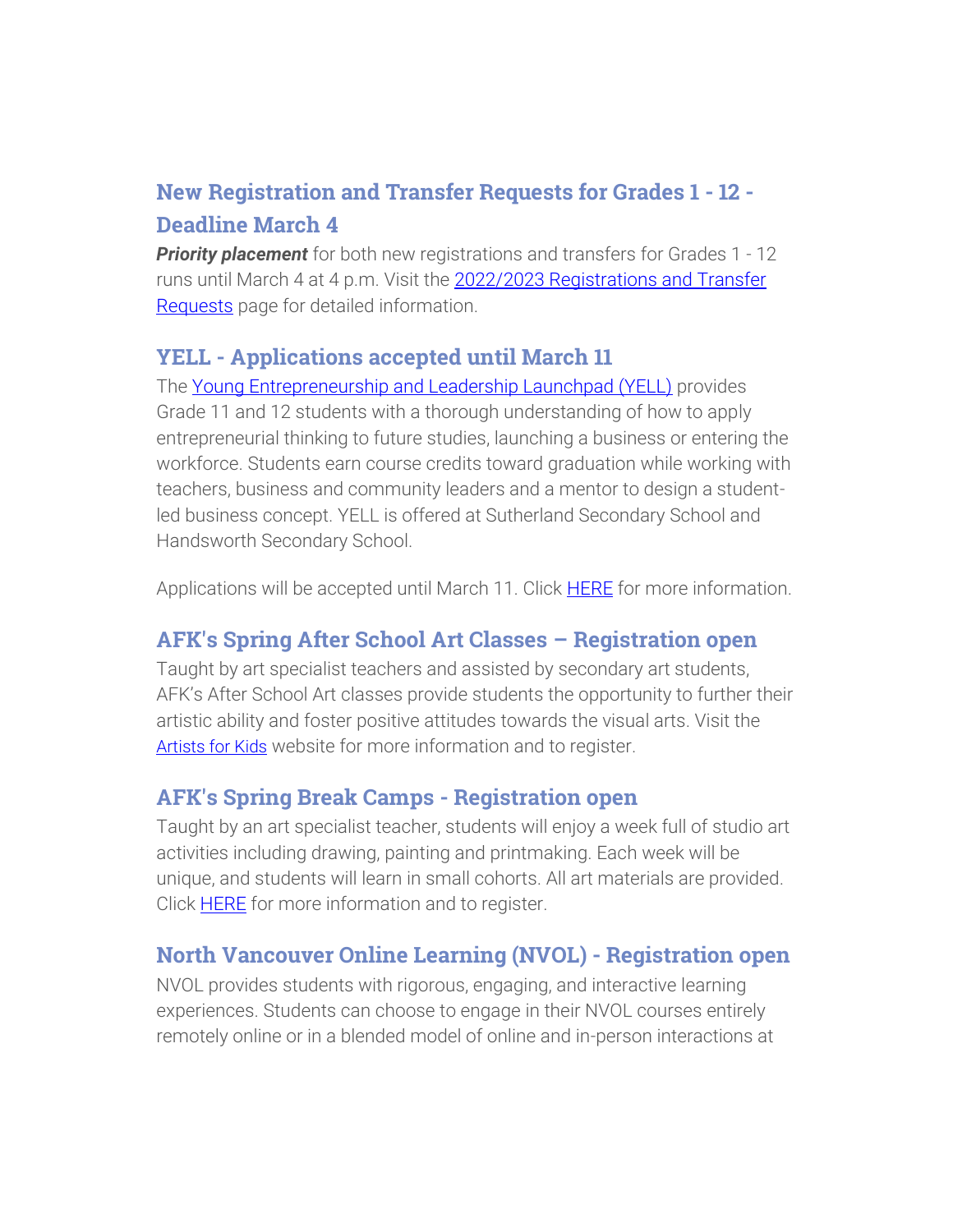### New Registration and Transfer Requests for Grades 1 - 12 - Deadline March 4

**Priority placement** for both new registrations and transfers for Grades 1 - 12 runs until March 4 at 4 p.m. Visit the 2022/2023 Registrations and Transfer [Requests](https://www.sd44.ca/Schools/StudentRegistration/2022-2023RegistrationsTransferRequests/Pages/default.aspx#/=) page for detailed information.

### YELL - Applications accepted until March 11

The [Young Entrepreneurship and Leadership Launchpad \(YELL\)](https://www.sd44.ca/ProgramsServices/careereducation/School-Based%20Career%20Programs/Pages/default.aspx#/=) provides Grade 11 and 12 students with a thorough understanding of how to apply entrepreneurial thinking to future studies, launching a business or entering the workforce. Students earn course credits toward graduation while working with teachers, business and community leaders and a mentor to design a studentled business concept. YELL is offered at Sutherland Secondary School and Handsworth Secondary School.

Applications will be accepted until March 11. Click [HERE](https://www.sd44.ca/ProgramsServices/careereducation/School-Based%20Career%20Programs/Pages/default.aspx#/=https://www.sd44.ca/ProgramsServices/careereducation/School-Based%20Career%20Programs/Pages/default.aspx) for more information.

### AFK's Spring After School Art Classes – Registration open

Taught by art specialist teachers and assisted by secondary art students, AFK's After School Art classes provide students the opportunity to further their artistic ability and foster positive attitudes towards the visual arts. Visit the [Artists for Kids](https://www.sd44.ca/school/artistsforkids/learn/afterschoolart/Pages/default.aspx#/=) website for more information and to register.

### AFK's Spring Break Camps - Registration open

Taught by an art specialist teacher, students will enjoy a week full of studio art activities including drawing, painting and printmaking. Each week will be unique, and students will learn in small cohorts. All art materials are provided. Click **HERE** for more information and to register.

### North Vancouver Online Learning (NVOL) - Registration open

NVOL provides students with rigorous, engaging, and interactive learning experiences. Students can choose to engage in their NVOL courses entirely remotely online or in a blended model of online and in-person interactions at